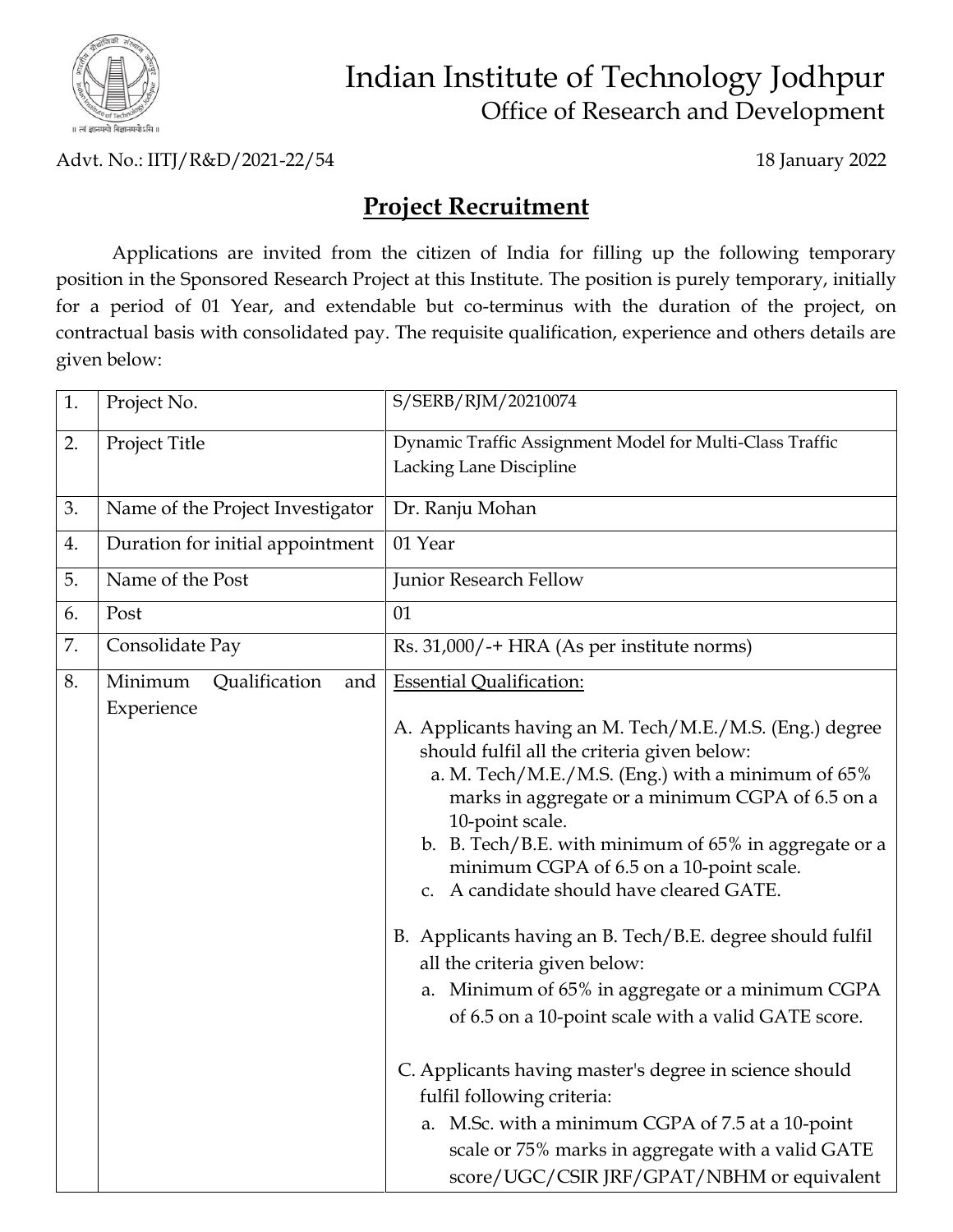

## Indian Institute of Technology Jodhpur Office of Research and Development

Advt. No.: IITJ/R&D/2021-22/54 18 January 2022

## **Project Recruitment**

Applications are invited from the citizen of India for filling up the following temporary position in the Sponsored Research Project at this Institute. The position is purely temporary, initially for a period of 01 Year, and extendable but co-terminus with the duration of the project, on contractual basis with consolidated pay. The requisite qualification, experience and others details are given below:

| 1. | Project No.                      | S/SERB/RJM/20210074                                                                                                                                                                                                                                                                                                                                                                                                                                                                                                                                                                             |
|----|----------------------------------|-------------------------------------------------------------------------------------------------------------------------------------------------------------------------------------------------------------------------------------------------------------------------------------------------------------------------------------------------------------------------------------------------------------------------------------------------------------------------------------------------------------------------------------------------------------------------------------------------|
| 2. | Project Title                    | Dynamic Traffic Assignment Model for Multi-Class Traffic<br>Lacking Lane Discipline                                                                                                                                                                                                                                                                                                                                                                                                                                                                                                             |
| 3. | Name of the Project Investigator | Dr. Ranju Mohan                                                                                                                                                                                                                                                                                                                                                                                                                                                                                                                                                                                 |
| 4. | Duration for initial appointment | 01 Year                                                                                                                                                                                                                                                                                                                                                                                                                                                                                                                                                                                         |
| 5. | Name of the Post                 | Junior Research Fellow                                                                                                                                                                                                                                                                                                                                                                                                                                                                                                                                                                          |
| 6. | Post                             | 01                                                                                                                                                                                                                                                                                                                                                                                                                                                                                                                                                                                              |
| 7. | Consolidate Pay                  | Rs. 31,000/-+ HRA (As per institute norms)                                                                                                                                                                                                                                                                                                                                                                                                                                                                                                                                                      |
| 8. | Minimum<br>Qualification<br>and  | <b>Essential Qualification:</b>                                                                                                                                                                                                                                                                                                                                                                                                                                                                                                                                                                 |
|    | Experience                       | A. Applicants having an M. Tech/M.E./M.S. (Eng.) degree<br>should fulfil all the criteria given below:<br>a. M. Tech/M.E./M.S. (Eng.) with a minimum of 65%<br>marks in aggregate or a minimum CGPA of 6.5 on a<br>10-point scale.<br>b. B. Tech/B.E. with minimum of $65\%$ in aggregate or a<br>minimum CGPA of 6.5 on a 10-point scale.<br>c. A candidate should have cleared GATE.<br>B. Applicants having an B. Tech/B.E. degree should fulfil<br>all the criteria given below:<br>a. Minimum of 65% in aggregate or a minimum CGPA<br>of 6.5 on a 10-point scale with a valid GATE score. |
|    |                                  | C. Applicants having master's degree in science should<br>fulfil following criteria:<br>a. M.Sc. with a minimum CGPA of 7.5 at a 10-point<br>scale or 75% marks in aggregate with a valid GATE<br>score/UGC/CSIR JRF/GPAT/NBHM or equivalent                                                                                                                                                                                                                                                                                                                                                    |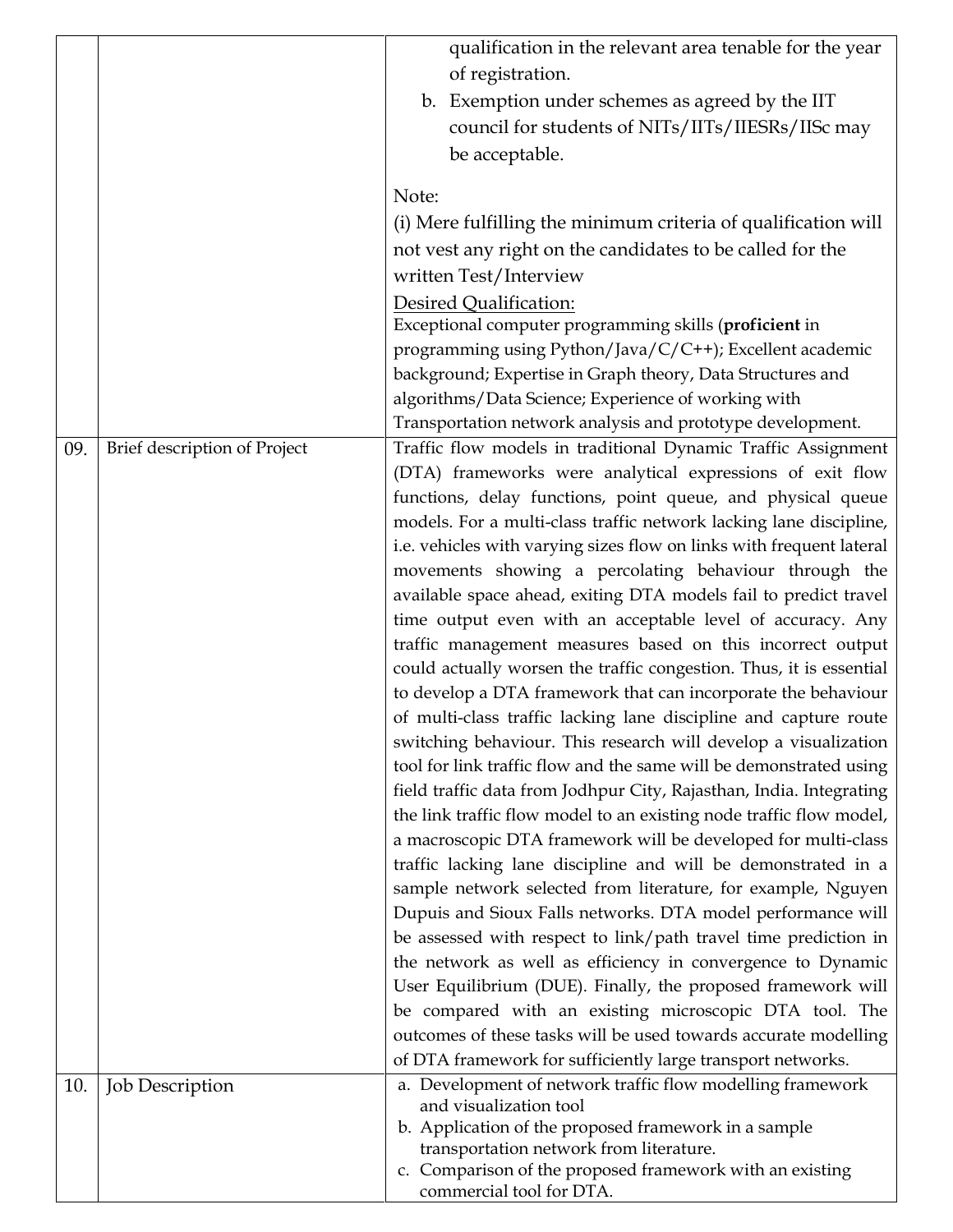|     |                              | qualification in the relevant area tenable for the year                              |
|-----|------------------------------|--------------------------------------------------------------------------------------|
|     |                              | of registration.                                                                     |
|     |                              | b. Exemption under schemes as agreed by the IIT                                      |
|     |                              | council for students of NITs/IITs/IIESRs/IISc may                                    |
|     |                              | be acceptable.                                                                       |
|     |                              |                                                                                      |
|     |                              | Note:                                                                                |
|     |                              | (i) Mere fulfilling the minimum criteria of qualification will                       |
|     |                              | not vest any right on the candidates to be called for the                            |
|     |                              | written Test/Interview                                                               |
|     |                              | Desired Qualification:                                                               |
|     |                              | Exceptional computer programming skills (proficient in                               |
|     |                              | programming using Python/Java/C/C++); Excellent academic                             |
|     |                              | background; Expertise in Graph theory, Data Structures and                           |
|     |                              | algorithms/Data Science; Experience of working with                                  |
|     |                              | Transportation network analysis and prototype development.                           |
| 09. | Brief description of Project | Traffic flow models in traditional Dynamic Traffic Assignment                        |
|     |                              | (DTA) frameworks were analytical expressions of exit flow                            |
|     |                              | functions, delay functions, point queue, and physical queue                          |
|     |                              | models. For a multi-class traffic network lacking lane discipline,                   |
|     |                              | i.e. vehicles with varying sizes flow on links with frequent lateral                 |
|     |                              | movements showing a percolating behaviour through the                                |
|     |                              | available space ahead, exiting DTA models fail to predict travel                     |
|     |                              | time output even with an acceptable level of accuracy. Any                           |
|     |                              | traffic management measures based on this incorrect output                           |
|     |                              | could actually worsen the traffic congestion. Thus, it is essential                  |
|     |                              | to develop a DTA framework that can incorporate the behaviour                        |
|     |                              | of multi-class traffic lacking lane discipline and capture route                     |
|     |                              | switching behaviour. This research will develop a visualization                      |
|     |                              | tool for link traffic flow and the same will be demonstrated using                   |
|     |                              | field traffic data from Jodhpur City, Rajasthan, India. Integrating                  |
|     |                              | the link traffic flow model to an existing node traffic flow model,                  |
|     |                              | a macroscopic DTA framework will be developed for multi-class                        |
|     |                              | traffic lacking lane discipline and will be demonstrated in a                        |
|     |                              | sample network selected from literature, for example, Nguyen                         |
|     |                              | Dupuis and Sioux Falls networks. DTA model performance will                          |
|     |                              | be assessed with respect to link/path travel time prediction in                      |
|     |                              | the network as well as efficiency in convergence to Dynamic                          |
|     |                              | User Equilibrium (DUE). Finally, the proposed framework will                         |
|     |                              | be compared with an existing microscopic DTA tool. The                               |
|     |                              | outcomes of these tasks will be used towards accurate modelling                      |
|     |                              | of DTA framework for sufficiently large transport networks.                          |
| 10. | <b>Job Description</b>       | a. Development of network traffic flow modelling framework<br>and visualization tool |
|     |                              | b. Application of the proposed framework in a sample                                 |
|     |                              | transportation network from literature.                                              |
|     |                              | c. Comparison of the proposed framework with an existing                             |
|     |                              | commercial tool for DTA.                                                             |